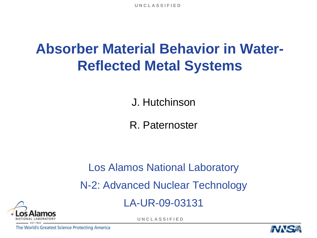**U N C L A S S I F I E D**

# **Absorber Material Behavior in Water-Reflected Metal Systems**

J. Hutchinson

R. Paternoster

## Los Alamos National Laboratory N-2: Advanced Nuclear Technology

LA-UR-09-03131



**U N C L A S S I F I E D**

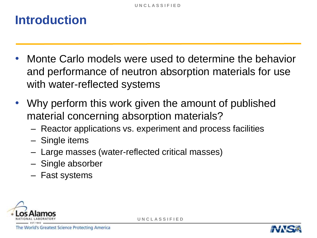## **Introduction**

- Monte Carlo models were used to determine the behavior and performance of neutron absorption materials for use with water-reflected systems
- Why perform this work given the amount of published material concerning absorption materials?
	- Reactor applications vs. experiment and process facilities
	- Single items
	- Large masses (water-reflected critical masses)
	- Single absorber
	- Fast systems



**U N C L A S S I F I E D**

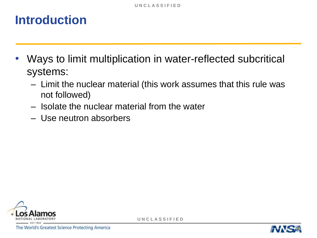## **Introduction**

- Ways to limit multiplication in water-reflected subcritical systems:
	- Limit the nuclear material (this work assumes that this rule was not followed)
	- Isolate the nuclear material from the water
	- Use neutron absorbers



**U N C L A S S I F I E D**

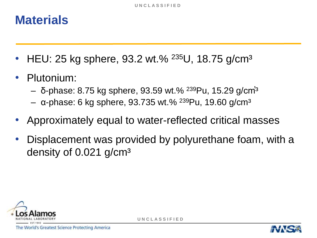### **Materials**

- HEU: 25 kg sphere, 93.2 wt.% <sup>235</sup>U, 18.75 g/cm<sup>3</sup>
- Plutonium:
	- δ-phase: 8.75 kg sphere, 93.59 wt.% <sup>239</sup>Pu, 15.29 g/cm<sup>3</sup>
	- $-$  α-phase: 6 kg sphere, 93.735 wt.% <sup>239</sup>Pu, 19.60 g/cm<sup>3</sup>
- Approximately equal to water-reflected critical masses
- Displacement was provided by polyurethane foam, with a density of 0.021 g/cm<sup>3</sup>



**U N C L A S S I F I E D**

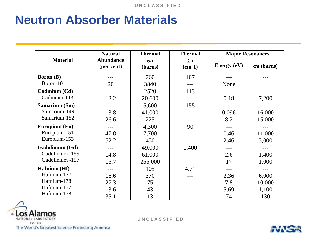## **Neutron Absorber Materials**

|                  | <b>Natural</b>                 | <b>Thermal</b>        | <b>Thermal</b>         |               | <b>Major Resonances</b> |
|------------------|--------------------------------|-----------------------|------------------------|---------------|-------------------------|
| <b>Material</b>  | <b>Abundance</b><br>(per cent) | $\sigma$ a<br>(barns) | $\Sigma$ a<br>$(cm-1)$ | Energy $(eV)$ | $\sigma a$ (barns)      |
| <b>Boron</b> (B) |                                | 760                   | 107                    |               |                         |
| Boron-10         | 20                             | 3840                  | ---                    | None          |                         |
| Cadmium (Cd)     | $---$                          | 2520                  | 113                    |               |                         |
| Cadmium-113      | 12.2                           | 20,600                |                        | 0.18          | 7,200                   |
| Samarium (Sm)    | $---$                          | 5,600                 | 155                    | $---$         | ---                     |
| Samarium-149     | 13.8                           | 41,000                |                        | 0.096         | 16,000                  |
| Samarium-152     | 26.6                           | 225                   | ---                    | 8.2           | 15,000                  |
| Europium (Eu)    |                                | 4,300                 | 90                     |               |                         |
| Europium-151     | 47.8                           | 7,700                 |                        | 0.46          | 11,000                  |
| Europium-153     | 52.2                           | 450                   |                        | 2.46          | 3,000                   |
| Gadolinium (Gd)  |                                | 49,000                | 1,400                  | $---$         |                         |
| Gadolinium -155  | 14.8                           | 61,000                |                        | 2.6           | 1,400                   |
| Gadolinium -157  | 15.7                           | 255,000               |                        | 17            | 1,000                   |
| Hafnium (Hf)     |                                | 105                   | 4.71                   |               |                         |
| Hafnium-177      | 18.6                           | 370                   |                        | 2.36          | 6,000                   |
| Hafnium-178      | 27.3                           | 75                    |                        | 7.8           | 10,000                  |
| Hafnium-177      | 13.6                           | 43                    |                        | 5.69          | 1,100                   |
| Hafnium-178      | 35.1                           | 13                    |                        | 74            | 130                     |



**U N C L A S S I F I E D**

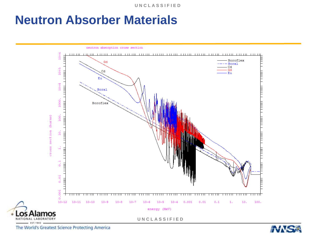**U N C L A S S I F I E D**

#### **Neutron Absorber Materials**



neutron absorption cross section

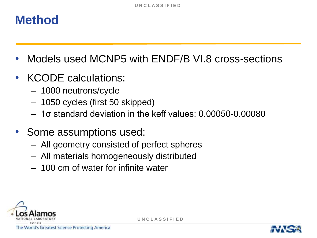### **Method**

- Models used MCNP5 with ENDF/B VI.8 cross-sections
- KCODE calculations:
	- 1000 neutrons/cycle
	- 1050 cycles (first 50 skipped)
	- 1σ standard deviation in the keff values: 0.00050-0.00080
- Some assumptions used:
	- All geometry consisted of perfect spheres
	- All materials homogeneously distributed
	- 100 cm of water for infinite water



**U N C L A S S I F I E D**

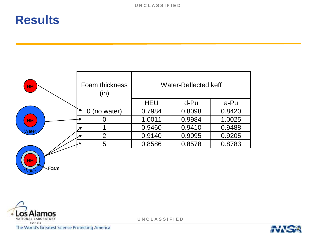| <b>NM</b> | Foam thickness<br>(in) |            | <b>Water-Reflected keff</b> |        |  |
|-----------|------------------------|------------|-----------------------------|--------|--|
|           |                        | <b>HEU</b> | d-Pu                        | a-Pu   |  |
|           | $\Omega$<br>(no water) | 0.7984     | 0.8098                      | 0.8420 |  |
| <b>NM</b> |                        | 1.0011     | 0.9984                      | 1.0025 |  |
| Water     |                        | 0.9460     | 0.9410                      | 0.9488 |  |
|           | $\overline{2}$         | 0.9140     | 0.9095                      | 0.9205 |  |
|           | 5                      | 0.8586     | 0.8578                      | 0.8783 |  |
| <b>NM</b> |                        |            |                             |        |  |



**U N C L A S S I F I E D**

The World's Greatest Science Protecting America

Foam

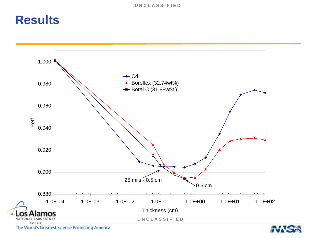

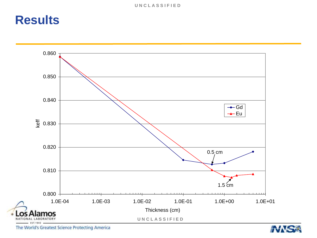

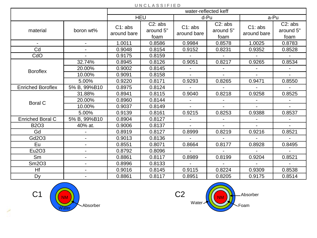| U N U L A S S I F I E D  |                |                        |                              |                        |                              |                        |                              |  |
|--------------------------|----------------|------------------------|------------------------------|------------------------|------------------------------|------------------------|------------------------------|--|
|                          |                |                        |                              |                        | water-reflected keff         |                        |                              |  |
|                          |                | <b>HEU</b>             |                              | d-Pu                   |                              | a-Pu                   |                              |  |
| material                 | boron wt%      | C1: abs<br>around bare | C2: abs<br>around 5"<br>foam | C1: abs<br>around bare | C2: abs<br>around 5"<br>foam | C1: abs<br>around bare | C2: abs<br>around 5"<br>foam |  |
|                          |                | 1.0011                 | 0.8586                       | 0.9984                 | 0.8578                       | 1.0025                 | 0.8783                       |  |
| Cd                       |                | 0.9048                 | 0.8154                       | 0.9152                 | 0.8231                       | 0.9352                 | 0.8528                       |  |
| CdO                      |                | 0.9175                 | 0.8159                       |                        |                              | $\sim$                 |                              |  |
|                          | 32.74%         | 0.8945                 | 0.8126                       | 0.9051                 | 0.8217                       | 0.9265                 | 0.8534                       |  |
| <b>Boroflex</b>          | 20.00%         | 0.9002                 | 0.8145                       |                        |                              |                        |                              |  |
|                          | 10.00%         | 0.9091                 | 0.8158                       |                        |                              |                        |                              |  |
|                          | 5.00%          | 0.9220                 | 0.8171                       | 0.9293                 | 0.8265                       | 0.9471                 | 0.8550                       |  |
| <b>Enriched Boroflex</b> | 5% B, 99%B10   | 0.8975                 | 0.8124                       |                        |                              |                        |                              |  |
|                          | 31.88%         | 0.8941                 | 0.8115                       | 0.9040                 | 0.8218                       | 0.9258                 | 0.8525                       |  |
| <b>Boral C</b>           | 20.00%         | 0.8960                 | 0.8144                       |                        |                              |                        |                              |  |
|                          | 10.00%         | 0.9037                 | 0.8149                       |                        |                              | $\mathbf{r}$           |                              |  |
|                          | 5.00%          | 0.9139                 | 0.8161                       | 0.9215                 | 0.8253                       | 0.9388                 | 0.8537                       |  |
| <b>Enriched Boral C</b>  | 5% B, 99%B10   | 0.8904                 | 0.8127                       |                        |                              |                        |                              |  |
| <b>B2O3</b>              | 40% at.        | 0.9006                 | 0.8137                       |                        |                              |                        |                              |  |
| Gd                       |                | 0.8919                 | 0.8127                       | 0.8999                 | 0.8219                       | 0.9216                 | 0.8521                       |  |
| Gd2O3                    | $\blacksquare$ | 0.9013                 | 0.8136                       |                        |                              |                        |                              |  |
| Eu                       |                | 0.8551                 | 0.8071                       | 0.8664                 | 0.8177                       | 0.8928                 | 0.8495                       |  |
| Eu2O3                    |                | 0.8792                 | 0.8096                       |                        |                              |                        |                              |  |
| Sm                       | $\blacksquare$ | 0.8861                 | 0.8117                       | 0.8989                 | 0.8199                       | 0.9204                 | 0.8521                       |  |
| Sm2O3                    | $\blacksquare$ | 0.8996                 | 0.8133                       |                        |                              |                        |                              |  |
| Hf                       |                | 0.9016                 | 0.8145                       | 0.9115                 | 0.8224                       | 0.9309                 | 0.8538                       |  |
| Dy                       |                | 0.8861                 | 0.8117                       | 0.8951                 | 0.8205                       | 0.9175                 | 0.8514                       |  |

#### **U N C L A S S I F I E D**



╱

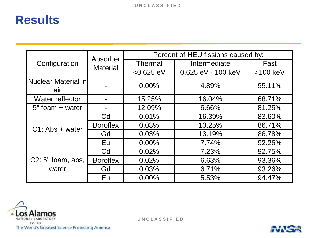|                            | Absorber        | Percent of HEU fissions caused by: |                    |          |  |
|----------------------------|-----------------|------------------------------------|--------------------|----------|--|
| Configuration              | <b>Material</b> | <b>Thermal</b>                     | Intermediate       | Fast     |  |
|                            |                 | $<0.625$ eV                        | 0.625 eV - 100 keV | >100 keV |  |
| Nuclear Material in<br>air |                 | $0.00\%$                           | 4.89%              | 95.11%   |  |
| Water reflector            |                 | 15.25%                             | 16.04%             | 68.71%   |  |
| 5" foam + water            |                 | 12.09%                             | 6.66%              | 81.25%   |  |
| $C1$ : Abs + water         | Cd              | 0.01%                              | 16.39%             | 83.60%   |  |
|                            | <b>Boroflex</b> | 0.03%                              | 13.25%             | 86.71%   |  |
|                            | Gd              | 0.03%                              | 13.19%             | 86.78%   |  |
|                            | Eu              | $0.00\%$                           | 7.74%              | 92.26%   |  |
|                            | Cd              | 0.02%                              | 7.23%              | 92.75%   |  |
| $C2: 5"$ foam, abs,        | <b>Boroflex</b> | 0.02%                              | 6.63%              | 93.36%   |  |
| water                      | Gd              | 0.03%                              | 6.71%              | 93.26%   |  |
|                            | Eu              | 0.00%                              | 5.53%              | 94.47%   |  |



**U N C L A S S I F I E D**

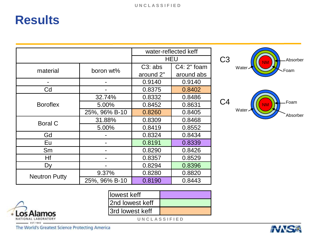|                      |               |           | water-reflected keff |
|----------------------|---------------|-----------|----------------------|
|                      |               |           | <b>HEU</b>           |
| material             | boron wt%     | C3: abs   | $C4: 2"$ foam        |
|                      |               | around 2" | around abs           |
|                      |               | 0.9140    | 0.9140               |
| Cd                   |               | 0.8375    | 0.8402               |
|                      | 32.74%        | 0.8332    | 0.8486               |
| <b>Boroflex</b>      | 5.00%         | 0.8452    | 0.8631               |
|                      | 25%, 96% B-10 | 0.8260    | 0.8405               |
| <b>Boral C</b>       | 31.88%        | 0.8309    | 0.8468               |
|                      | 5.00%         | 0.8419    | 0.8552               |
| Gd                   |               | 0.8324    | 0.8434               |
| Eu                   |               | 0.8191    | 0.8339               |
| Sm                   |               | 0.8290    | 0.8426               |
| Hf                   |               | 0.8357    | 0.8529               |
| Dy                   |               | 0.8294    | 0.8396               |
| <b>Neutron Putty</b> | 9.37%         | 0.8280    | 0.8820               |
|                      | 25%, 96% B-10 | 0.8190    | 0.8443               |

| <b>Ilowest keff</b>     |  |
|-------------------------|--|
| 2nd lowest keff         |  |
| <b>Sand lowest keff</b> |  |

**U N C L A S S I F I E D**

EST.1943 The World's Greatest Science Protecting America



NM Water<sub>~</sub> Foam Absorber C4

NM



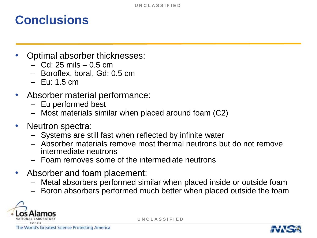## **Conclusions**

- Optimal absorber thicknesses:
	- Cd: 25 mils 0.5 cm
	- Boroflex, boral, Gd: 0.5 cm
	- Eu: 1.5 cm
- Absorber material performance:
	- Eu performed best
	- Most materials similar when placed around foam (C2)
- Neutron spectra:
	- Systems are still fast when reflected by infinite water
	- Absorber materials remove most thermal neutrons but do not remove intermediate neutrons
	- Foam removes some of the intermediate neutrons
- Absorber and foam placement:
	- Metal absorbers performed similar when placed inside or outside foam
	- Boron absorbers performed much better when placed outside the foam



**U N C L A S S I F I E D**

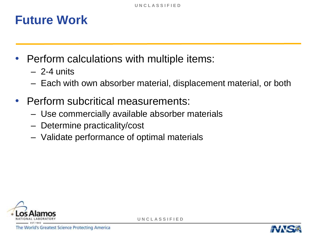## **Future Work**

- Perform calculations with multiple items:
	- $-2-4$  units
	- Each with own absorber material, displacement material, or both
- Perform subcritical measurements:
	- Use commercially available absorber materials
	- Determine practicality/cost
	- Validate performance of optimal materials



**U N C L A S S I F I E D**

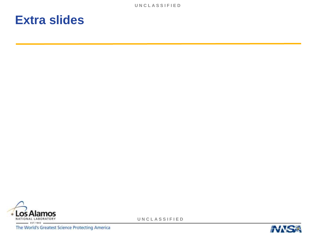#### **Extra slides**



**U N C L A S S I F I E D**

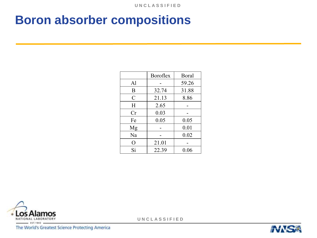## **Boron absorber compositions**

|                    | <b>Boroflex</b> | Boral |
|--------------------|-----------------|-------|
| Al                 |                 | 59.26 |
| B                  | 32.74           | 31.88 |
| $\overline{C}$     | 21.13           | 8.86  |
| H                  | 2.65            |       |
| Cr                 | 0.03            |       |
| Fe                 | 0.05            | 0.05  |
| Mg                 |                 | 0.01  |
| Na                 |                 | 0.02  |
| $\left( \ \right)$ | 21.01           |       |
| Si                 | 22.39           | 0.06  |



**U N C L A S S I F I E D**

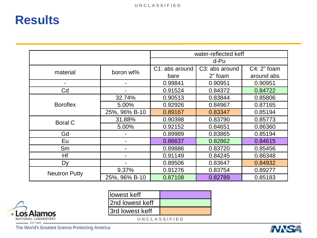|                      |               | water-reflected keff |                             |              |  |
|----------------------|---------------|----------------------|-----------------------------|--------------|--|
|                      |               | d-Pu                 |                             |              |  |
| material             | boron wt%     | C1: abs around       | C <sub>3</sub> : abs around | $C4:2"$ foam |  |
|                      |               | bare                 | 2" foam                     | around abs   |  |
| ۰.                   |               | 0.99841              | 0.90951                     | 0.90951      |  |
| Cd                   |               | 0.91524              | 0.84372                     | 0.84722      |  |
|                      | 32.74%        | 0.90513              | 0.83844                     | 0.85806      |  |
| <b>Boroflex</b>      | 5.00%         | 0.92926              | 0.84967                     | 0.87165      |  |
|                      | 25%, 96% B-10 | 0.89167              | 0.83347                     | 0.85194      |  |
| <b>Boral C</b>       | 31.88%        | 0.90398              | 0.83790                     | 0.85773      |  |
|                      | 5.00%         | 0.92152              | 0.84651                     | 0.86360      |  |
| Gd                   |               | 0.89989              | 0.83865                     | 0.85194      |  |
| Eu                   |               | 0.86637              | 0.82862                     | 0.84615      |  |
| Sm                   |               | 0.89886              | 0.83720                     | 0.85456      |  |
| Hf                   |               | 0.91149              | 0.84245                     | 0.86348      |  |
| Dy                   |               | 0.89506              | 0.83647                     | 0.84932      |  |
| <b>Neutron Putty</b> | 9.37%         | 0.91276              | 0.83754                     | 0.89277      |  |
|                      | 25%, 96% B-10 | 0.87108              | 0.82789                     | 0.85183      |  |

| llowest keff     |  |
|------------------|--|
| 2nd lowest keff  |  |
| 13rd lowest keff |  |

**U N C L A S S I F I E D**

The World's Greatest Science Protecting America

**Los Alamos** 

NATIONAL LABORATORY  $EST, 1943$ 

٠